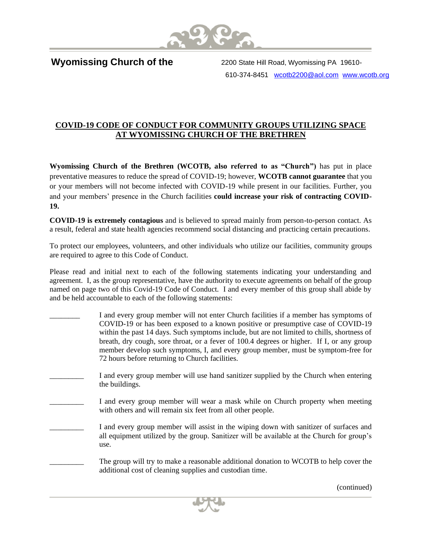

I **Wyomissing Church of the** 

2200 State Hill Road, Wyomissing PA 19610 610-374-8451 [wcotb2200@aol.com](mailto:wcotb2200@aol.com) [www.wcotb.org](http://www.wcotb.org/)

## **COVID-19 CODE OF CONDUCT FOR COMMUNITY GROUPS UTILIZING SPACE AT WYOMISSING CHURCH OF THE BRETHREN**

**Wyomissing Church of the Brethren (WCOTB, also referred to as "Church")** has put in place preventative measures to reduce the spread of COVID-19; however, **WCOTB cannot guarantee** that you or your members will not become infected with COVID-19 while present in our facilities. Further, you and your members' presence in the Church facilities **could increase your risk of contracting COVID-19.**

**COVID-19 is extremely contagious** and is believed to spread mainly from person-to-person contact. As a result, federal and state health agencies recommend social distancing and practicing certain precautions.

To protect our employees, volunteers, and other individuals who utilize our facilities, community groups are required to agree to this Code of Conduct.

Please read and initial next to each of the following statements indicating your understanding and agreement. I, as the group representative, have the authority to execute agreements on behalf of the group named on page two of this Covid-19 Code of Conduct. I and every member of this group shall abide by and be held accountable to each of the following statements:

- I and every group member will not enter Church facilities if a member has symptoms of COVID-19 or has been exposed to a known positive or presumptive case of COVID-19 within the past 14 days. Such symptoms include, but are not limited to chills, shortness of breath, dry cough, sore throat, or a fever of 100.4 degrees or higher. If I, or any group member develop such symptoms, I, and every group member, must be symptom-free for 72 hours before returning to Church facilities. I and every group member will use hand sanitizer supplied by the Church when entering the buildings.
- I and every group member will wear a mask while on Church property when meeting with others and will remain six feet from all other people.
	- I and every group member will assist in the wiping down with sanitizer of surfaces and all equipment utilized by the group. Sanitizer will be available at the Church for group's use.

The group will try to make a reasonable additional donation to WCOTB to help cover the additional cost of cleaning supplies and custodian time.

(continued)

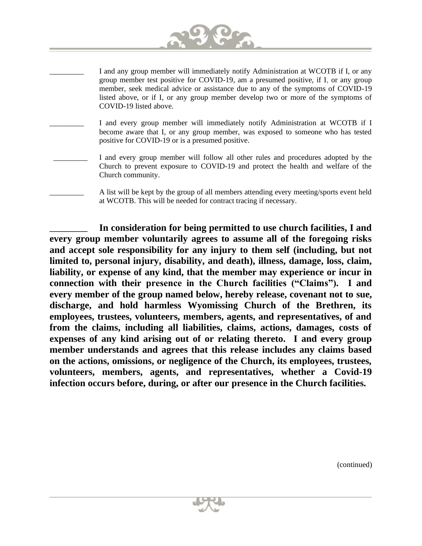

- I and any group member will immediately notify Administration at WCOTB if I, or any group member test positive for COVID-19, am a presumed positive, if I, or any group member, seek medical advice or assistance due to any of the symptoms of COVID-19 listed above, or if I, or any group member develop two or more of the symptoms of COVID-19 listed above.
- I and every group member will immediately notify Administration at WCOTB if I become aware that I, or any group member, was exposed to someone who has tested positive for COVID-19 or is a presumed positive.
- I and every group member will follow all other rules and procedures adopted by the Church to prevent exposure to COVID-19 and protect the health and welfare of the Church community.
	- A list will be kept by the group of all members attending every meeting/sports event held at WCOTB. This will be needed for contract tracing if necessary.

**\_\_\_\_\_\_\_\_\_\_ In consideration for being permitted to use church facilities, I and every group member voluntarily agrees to assume all of the foregoing risks and accept sole responsibility for any injury to them self (including, but not limited to, personal injury, disability, and death), illness, damage, loss, claim, liability, or expense of any kind, that the member may experience or incur in connection with their presence in the Church facilities ("Claims"). I and every member of the group named below, hereby release, covenant not to sue, discharge, and hold harmless Wyomissing Church of the Brethren, its employees, trustees, volunteers, members, agents, and representatives, of and from the claims, including all liabilities, claims, actions, damages, costs of expenses of any kind arising out of or relating thereto. I and every group member understands and agrees that this release includes any claims based on the actions, omissions, or negligence of the Church, its employees, trustees, volunteers, members, agents, and representatives, whether a Covid-19 infection occurs before, during, or after our presence in the Church facilities.** 

(continued)